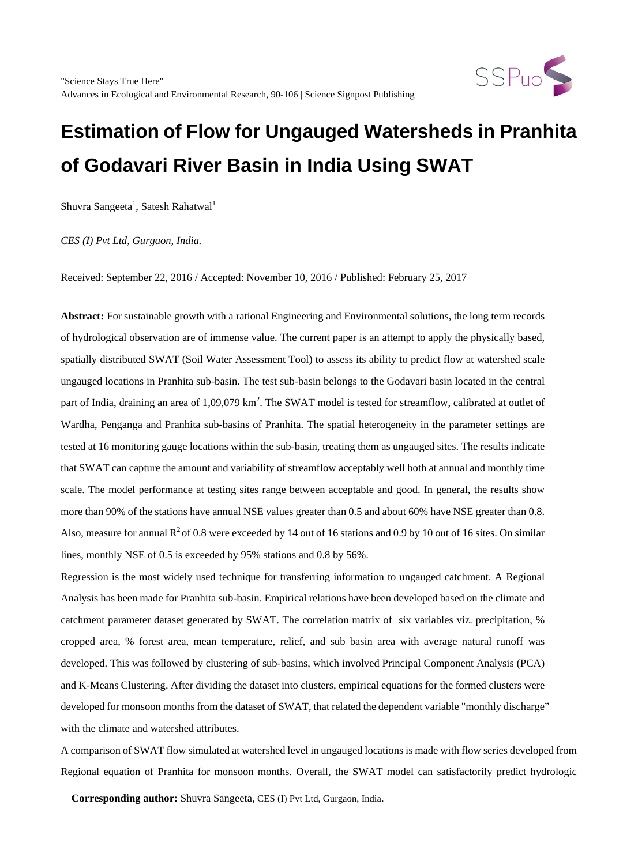

 $Shuvra\ Sangeeta^1, \ Satesh\ Rahatwal^1$ 

*CES (I) Pvt Ltd, Gurgaon, India.*

Received: September 22, 2016 / Accepted: November 10, 2016 / Published: February 25, 2017

**Abstract:** For sustainable growth with a rational Engineering and Environmental solutions, the long term records of hydrological observation are of immense value. The current paper is an attempt to apply the physically based, spatially distributed SWAT (Soil Water Assessment Tool) to assess its ability to predict flow at watershed scale ungauged locations in Pranhita sub-basin. The test sub-basin belongs to the Godavari basin located in the central part of India, draining an area of 1,09,079 km<sup>2</sup>. The SWAT model is tested for streamflow, calibrated at outlet of Wardha, Penganga and Pranhita sub-basins of Pranhita. The spatial heterogeneity in the parameter settings are tested at 16 monitoring gauge locations within the sub-basin, treating them as ungauged sites. The results indicate that SWAT can capture the amount and variability of streamflow acceptably well both at annual and monthly time scale. The model performance at testing sites range between acceptable and good. In general, the results show more than 90% of the stations have annual NSE values greater than 0.5 and about 60% have NSE greater than 0.8. Also, measure for annual  $R^2$  of 0.8 were exceeded by 14 out of 16 stations and 0.9 by 10 out of 16 sites. On similar lines, monthly NSE of 0.5 is exceeded by 95% stations and 0.8 by 56%.

Regression is the most widely used technique for transferring information to ungauged catchment. A Regional Analysis has been made for Pranhita sub-basin. Empirical relations have been developed based on the climate and catchment parameter dataset generated by SWAT. The correlation matrix of six variables viz. precipitation, % cropped area, % forest area, mean temperature, relief, and sub basin area with average natural runoff was developed. This was followed by clustering of sub-basins, which involved Principal Component Analysis (PCA) and K-Means Clustering. After dividing the dataset into clusters, empirical equations for the formed clusters were developed for monsoon months from the dataset of SWAT, that related the dependent variable "monthly discharge" with the climate and watershed attributes.

A comparison of SWAT flow simulated at watershed level in ungauged locations is made with flow series developed from Regional equation of Pranhita for monsoon months. Overall, the SWAT model can satisfactorily predict hydrologic

**Corresponding author:** Shuvra Sangeeta, CES (I) Pvt Ltd, Gurgaon, India.

<span id="page-0-0"></span> $\overline{a}$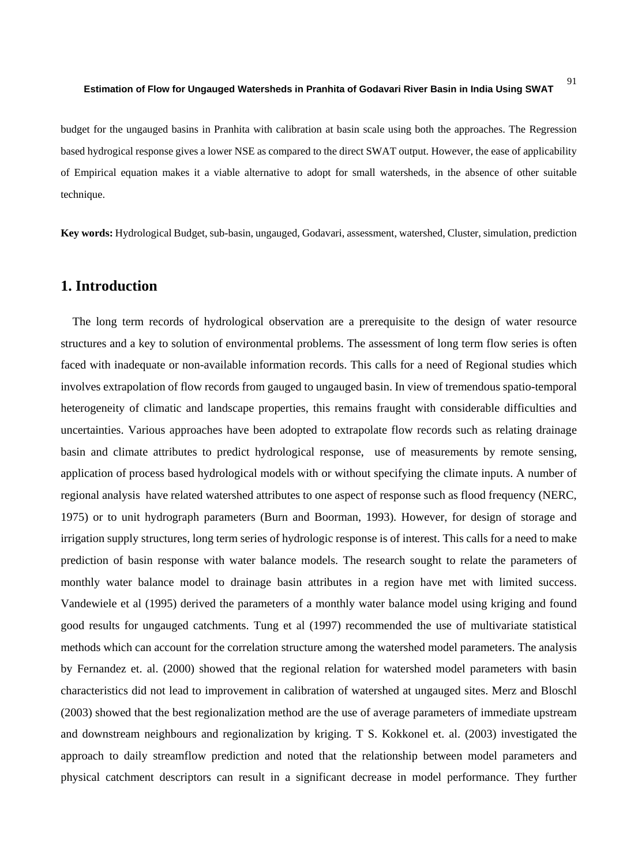budget for the ungauged basins in Pranhita with calibration at basin scale using both the approaches. The Regression based hydrogical response gives a lower NSE as compared to the direct SWAT output. However, the ease of applicability of Empirical equation makes it a viable alternative to adopt for small watersheds, in the absence of other suitable technique.

**Key words:** Hydrological Budget, sub-basin, ungauged, Godavari, assessment, watershed, Cluster, simulation, prediction

# **1. Introduction**

The long term records of hydrological observation are a prerequisite to the design of water resource structures and a key to solution of environmental problems. The assessment of long term flow series is often faced with inadequate or non-available information records. This calls for a need of Regional studies which involves extrapolation of flow records from gauged to ungauged basin. In view of tremendous spatio-temporal heterogeneity of climatic and landscape properties, this remains fraught with considerable difficulties and uncertainties. Various approaches have been adopted to extrapolate flow records such as relating drainage basin and climate attributes to predict hydrological response, use of measurements by remote sensing, application of process based hydrological models with or without specifying the climate inputs. A number of regional analysis have related watershed attributes to one aspect of response such as flood frequency (NERC, 1975) or to unit hydrograph parameters (Burn and Boorman, 1993). However, for design of storage and irrigation supply structures, long term series of hydrologic response is of interest. This calls for a need to make prediction of basin response with water balance models. The research sought to relate the parameters of monthly water balance model to drainage basin attributes in a region have met with limited success. Vandewiele et al (1995) derived the parameters of a monthly water balance model using kriging and found good results for ungauged catchments. Tung et al (1997) recommended the use of multivariate statistical methods which can account for the correlation structure among the watershed model parameters. The analysis by Fernandez et. al. (2000) showed that the regional relation for watershed model parameters with basin characteristics did not lead to improvement in calibration of watershed at ungauged sites. Merz and Bloschl (2003) showed that the best regionalization method are the use of average parameters of immediate upstream and downstream neighbours and regionalization by kriging. T S. Kokkonel et. al. (2003) investigated the approach to daily streamflow prediction and noted that the relationship between model parameters and physical catchment descriptors can result in a significant decrease in model performance. They further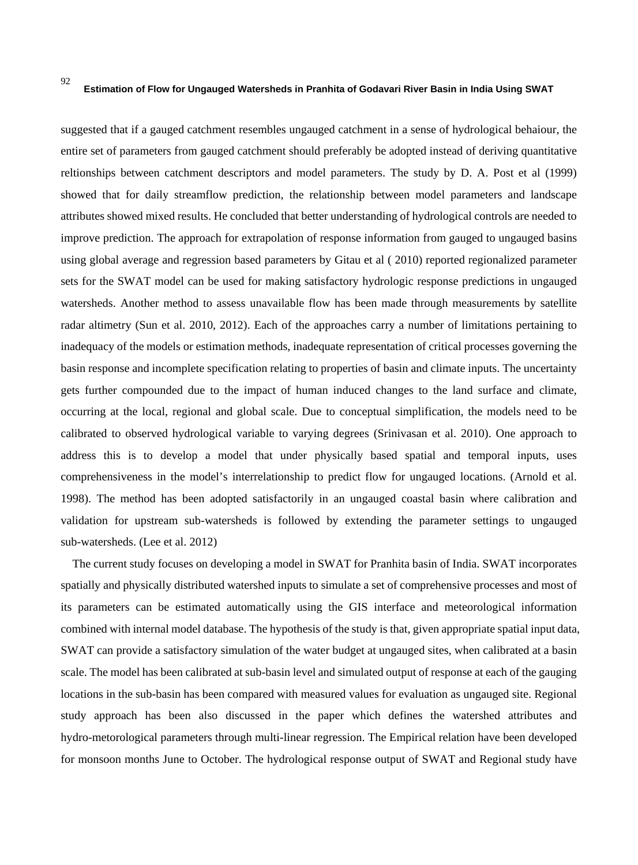suggested that if a gauged catchment resembles ungauged catchment in a sense of hydrological behaiour, the entire set of parameters from gauged catchment should preferably be adopted instead of deriving quantitative reltionships between catchment descriptors and model parameters. The study by D. A. Post et al (1999) showed that for daily streamflow prediction, the relationship between model parameters and landscape attributes showed mixed results. He concluded that better understanding of hydrological controls are needed to improve prediction. The approach for extrapolation of response information from gauged to ungauged basins using global average and regression based parameters by Gitau et al ( 2010) reported regionalized parameter sets for the SWAT model can be used for making satisfactory hydrologic response predictions in ungauged watersheds. Another method to assess unavailable flow has been made through measurements by satellite radar altimetry (Sun et al. 2010, 2012). Each of the approaches carry a number of limitations pertaining to inadequacy of the models or estimation methods, inadequate representation of critical processes governing the basin response and incomplete specification relating to properties of basin and climate inputs. The uncertainty gets further compounded due to the impact of human induced changes to the land surface and climate, occurring at the local, regional and global scale. Due to conceptual simplification, the models need to be calibrated to observed hydrological variable to varying degrees (Srinivasan et al. 2010). One approach to address this is to develop a model that under physically based spatial and temporal inputs, uses comprehensiveness in the model's interrelationship to predict flow for ungauged locations. (Arnold et al. 1998). The method has been adopted satisfactorily in an ungauged coastal basin where calibration and validation for upstream sub-watersheds is followed by extending the parameter settings to ungauged sub-watersheds. (Lee et al. 2012)

The current study focuses on developing a model in SWAT for Pranhita basin of India. SWAT incorporates spatially and physically distributed watershed inputs to simulate a set of comprehensive processes and most of its parameters can be estimated automatically using the GIS interface and meteorological information combined with internal model database. The hypothesis of the study is that, given appropriate spatial input data, SWAT can provide a satisfactory simulation of the water budget at ungauged sites, when calibrated at a basin scale. The model has been calibrated at sub-basin level and simulated output of response at each of the gauging locations in the sub-basin has been compared with measured values for evaluation as ungauged site. Regional study approach has been also discussed in the paper which defines the watershed attributes and hydro-metorological parameters through multi-linear regression. The Empirical relation have been developed for monsoon months June to October. The hydrological response output of SWAT and Regional study have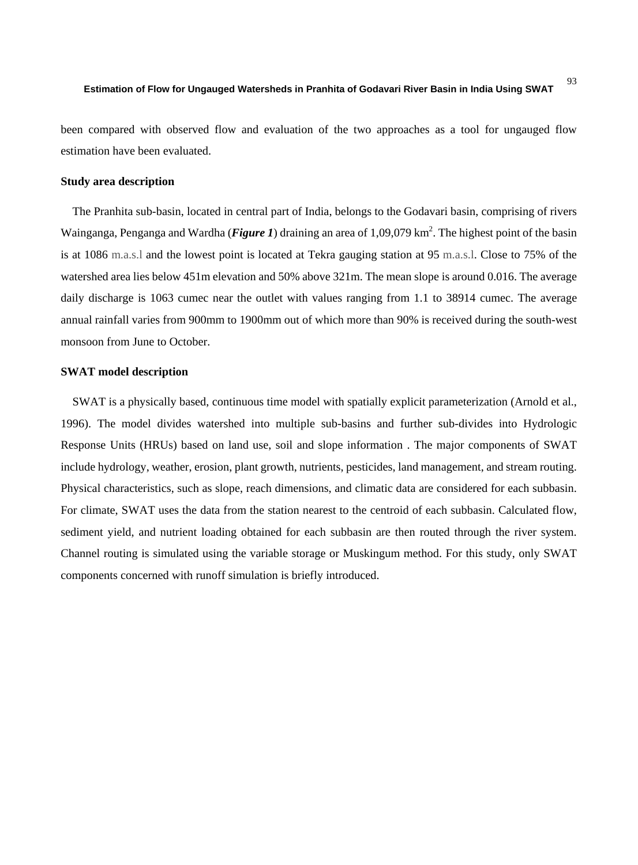been compared with observed flow and evaluation of the two approaches as a tool for ungauged flow estimation have been evaluated.

## **Study area description**

The Pranhita sub-basin, located in central part of India, belongs to the Godavari basin, comprising of rivers Wainganga, Penganga and Wardha (*Figure 1*) draining an area of 1,09,079 km<sup>2</sup>. The highest point of the basin is at 1086 m.a.s.l and the lowest point is located at Tekra gauging station at 95 m.a.s.l. Close to 75% of the watershed area lies below 451m elevation and 50% above 321m. The mean slope is around 0.016. The average daily discharge is 1063 cumec near the outlet with values ranging from 1.1 to 38914 cumec. The average annual rainfall varies from 900mm to 1900mm out of which more than 90% is received during the south-west monsoon from June to October.

### **SWAT model description**

SWAT is a physically based, continuous time model with spatially explicit parameterization (Arnold et al., 1996). The model divides watershed into multiple sub-basins and further sub-divides into Hydrologic Response Units (HRUs) based on land use, soil and slope information . The major components of SWAT include hydrology, weather, erosion, plant growth, nutrients, pesticides, land management, and stream routing. Physical characteristics, such as slope, reach dimensions, and climatic data are considered for each subbasin. For climate, SWAT uses the data from the station nearest to the centroid of each subbasin. Calculated flow, sediment yield, and nutrient loading obtained for each subbasin are then routed through the river system. Channel routing is simulated using the variable storage or Muskingum method. For this study, only SWAT components concerned with runoff simulation is briefly introduced.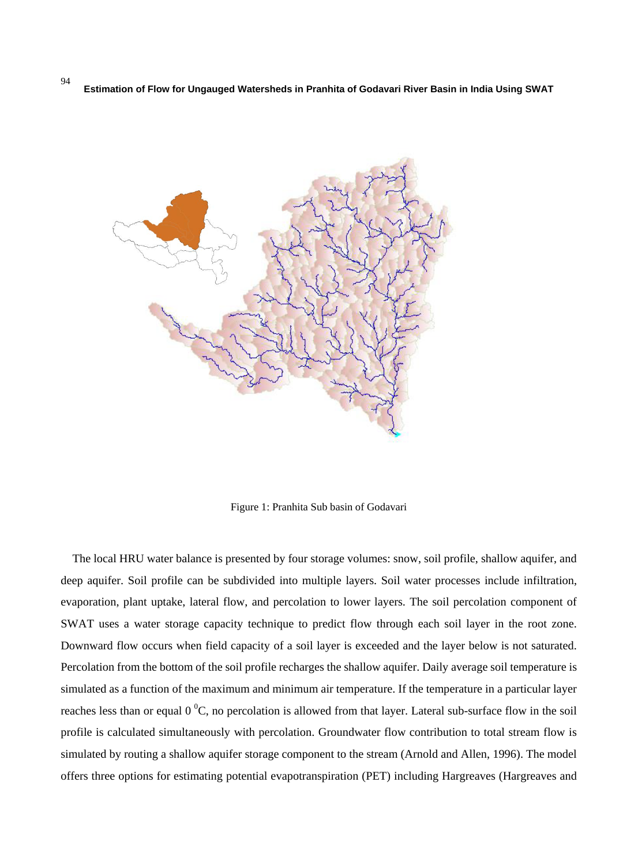

Figure 1: Pranhita Sub basin of Godavari

The local HRU water balance is presented by four storage volumes: snow, soil profile, shallow aquifer, and deep aquifer. Soil profile can be subdivided into multiple layers. Soil water processes include infiltration, evaporation, plant uptake, lateral flow, and percolation to lower layers. The soil percolation component of SWAT uses a water storage capacity technique to predict flow through each soil layer in the root zone. Downward flow occurs when field capacity of a soil layer is exceeded and the layer below is not saturated. Percolation from the bottom of the soil profile recharges the shallow aquifer. Daily average soil temperature is simulated as a function of the maximum and minimum air temperature. If the temperature in a particular layer reaches less than or equal  $0<sup>0</sup>C$ , no percolation is allowed from that layer. Lateral sub-surface flow in the soil profile is calculated simultaneously with percolation. Groundwater flow contribution to total stream flow is simulated by routing a shallow aquifer storage component to the stream (Arnold and Allen, 1996). The model offers three options for estimating potential evapotranspiration (PET) including Hargreaves (Hargreaves and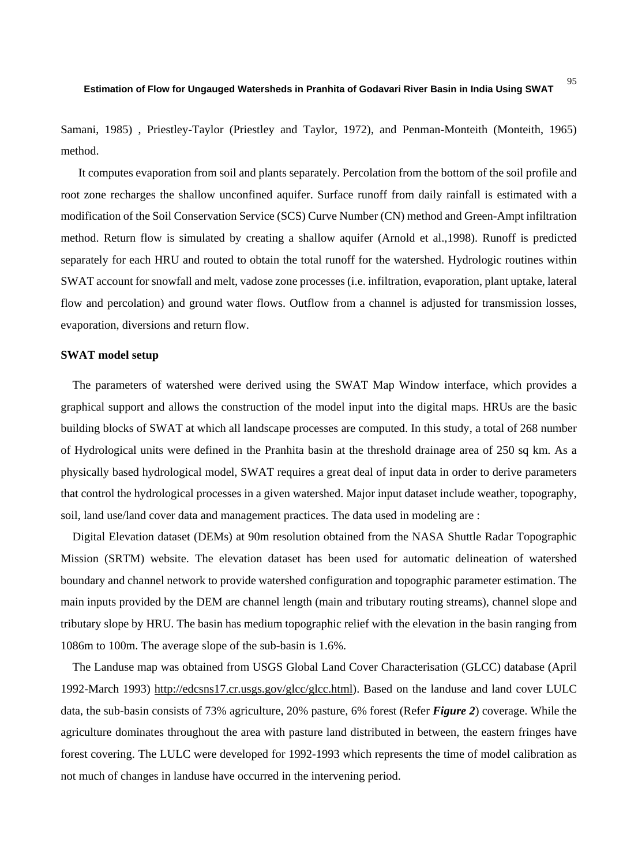95

Samani, 1985) , Priestley-Taylor (Priestley and Taylor, 1972), and Penman-Monteith (Monteith, 1965) method.

It computes evaporation from soil and plants separately. Percolation from the bottom of the soil profile and root zone recharges the shallow unconfined aquifer. Surface runoff from daily rainfall is estimated with a modification of the Soil Conservation Service (SCS) Curve Number (CN) method and Green-Ampt infiltration method. Return flow is simulated by creating a shallow aquifer (Arnold et al.,1998). Runoff is predicted separately for each HRU and routed to obtain the total runoff for the watershed. Hydrologic routines within SWAT account for snowfall and melt, vadose zone processes (i.e. infiltration, evaporation, plant uptake, lateral flow and percolation) and ground water flows. Outflow from a channel is adjusted for transmission losses, evaporation, diversions and return flow.

## **SWAT model setup**

The parameters of watershed were derived using the SWAT Map Window interface, which provides a graphical support and allows the construction of the model input into the digital maps. HRUs are the basic building blocks of SWAT at which all landscape processes are computed. In this study, a total of 268 number of Hydrological units were defined in the Pranhita basin at the threshold drainage area of 250 sq km. As a physically based hydrological model, SWAT requires a great deal of input data in order to derive parameters that control the hydrological processes in a given watershed. Major input dataset include weather, topography, soil, land use/land cover data and management practices. The data used in modeling are :

Digital Elevation dataset (DEMs) at 90m resolution obtained from the NASA Shuttle Radar Topographic Mission (SRTM) website. The elevation dataset has been used for automatic delineation of watershed boundary and channel network to provide watershed configuration and topographic parameter estimation. The main inputs provided by the DEM are channel length (main and tributary routing streams), channel slope and tributary slope by HRU. The basin has medium topographic relief with the elevation in the basin ranging from 1086m to 100m. The average slope of the sub-basin is 1.6%.

The Landuse map was obtained from USGS Global Land Cover Characterisation (GLCC) database (April 1992-March 1993) [http://edcsns17.cr.usgs.gov/glcc/glcc.html\)](http://edcsns17.cr.usgs.gov/glcc/glcc.html). Based on the landuse and land cover LULC data, the sub-basin consists of 73% agriculture, 20% pasture, 6% forest (Refer *Figure 2*) coverage. While the agriculture dominates throughout the area with pasture land distributed in between, the eastern fringes have forest covering. The LULC were developed for 1992-1993 which represents the time of model calibration as not much of changes in landuse have occurred in the intervening period.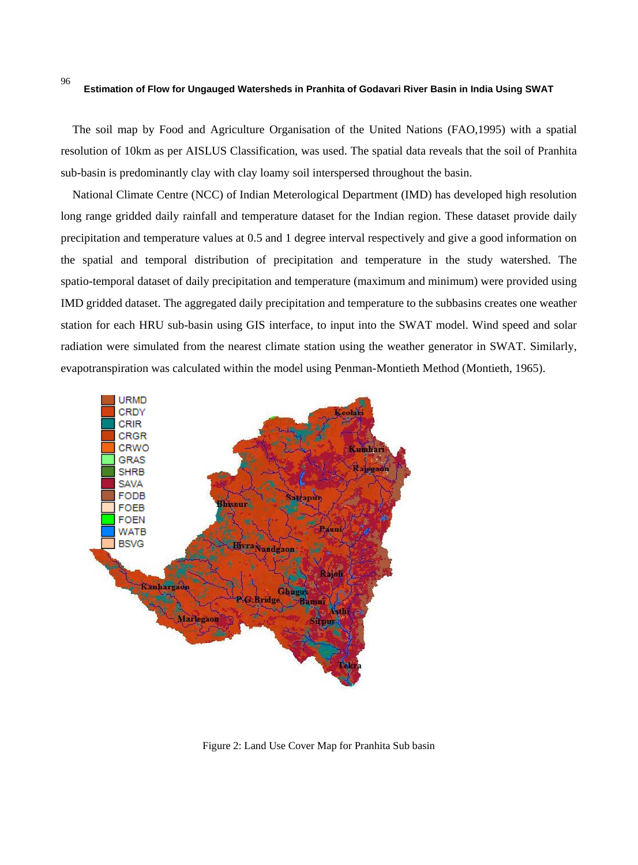The soil map by Food and Agriculture Organisation of the United Nations (FAO,1995) with a spatial resolution of 10km as per AISLUS Classification, was used. The spatial data reveals that the soil of Pranhita sub-basin is predominantly clay with clay loamy soil interspersed throughout the basin.

National Climate Centre (NCC) of Indian Meterological Department (IMD) has developed high resolution long range gridded daily rainfall and temperature dataset for the Indian region. These dataset provide daily precipitation and temperature values at 0.5 and 1 degree interval respectively and give a good information on the spatial and temporal distribution of precipitation and temperature in the study watershed. The spatio-temporal dataset of daily precipitation and temperature (maximum and minimum) were provided using IMD gridded dataset. The aggregated daily precipitation and temperature to the subbasins creates one weather station for each HRU sub-basin using GIS interface, to input into the SWAT model. Wind speed and solar radiation were simulated from the nearest climate station using the weather generator in SWAT. Similarly, evapotranspiration was calculated within the model using Penman-Montieth Method (Montieth, 1965).



Figure 2: Land Use Cover Map for Pranhita Sub basin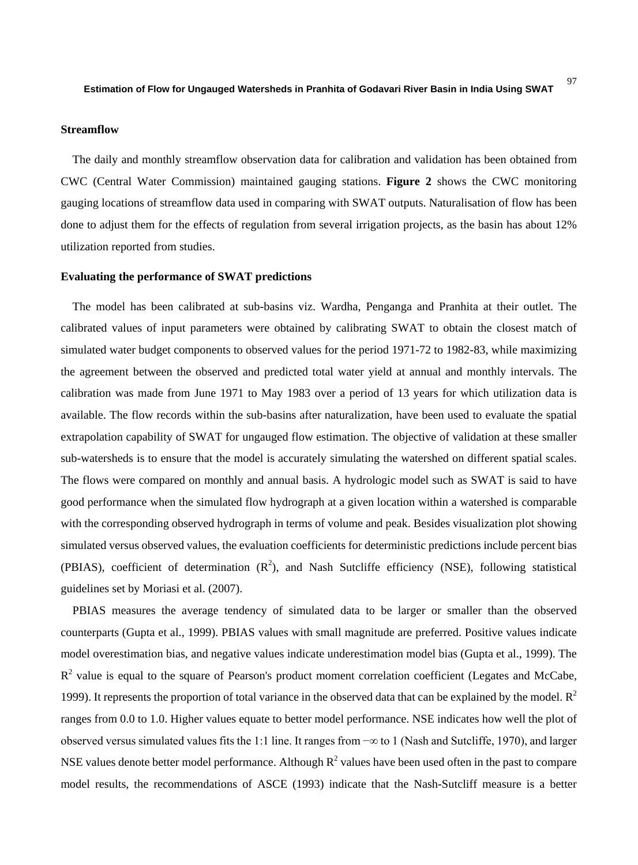# **Streamflow**

The daily and monthly streamflow observation data for calibration and validation has been obtained from CWC (Central Water Commission) maintained gauging stations. **Figure 2** shows the CWC monitoring gauging locations of streamflow data used in comparing with SWAT outputs. Naturalisation of flow has been done to adjust them for the effects of regulation from several irrigation projects, as the basin has about 12% utilization reported from studies.

### **Evaluating the performance of SWAT predictions**

The model has been calibrated at sub-basins viz. Wardha, Penganga and Pranhita at their outlet. The calibrated values of input parameters were obtained by calibrating SWAT to obtain the closest match of simulated water budget components to observed values for the period 1971-72 to 1982-83, while maximizing the agreement between the observed and predicted total water yield at annual and monthly intervals. The calibration was made from June 1971 to May 1983 over a period of 13 years for which utilization data is available. The flow records within the sub-basins after naturalization, have been used to evaluate the spatial extrapolation capability of SWAT for ungauged flow estimation. The objective of validation at these smaller sub-watersheds is to ensure that the model is accurately simulating the watershed on different spatial scales. The flows were compared on monthly and annual basis. A hydrologic model such as SWAT is said to have good performance when the simulated flow hydrograph at a given location within a watershed is comparable with the corresponding observed hydrograph in terms of volume and peak. Besides visualization plot showing simulated versus observed values, the evaluation coefficients for deterministic predictions include percent bias (PBIAS), coefficient of determination  $(R^2)$ , and Nash Sutcliffe efficiency (NSE), following statistical guidelines set by Moriasi et al. (2007).

PBIAS measures the average tendency of simulated data to be larger or smaller than the observed counterparts (Gupta et al., 1999). PBIAS values with small magnitude are preferred. Positive values indicate model overestimation bias, and negative values indicate underestimation model bias (Gupta et al., 1999). The  $R<sup>2</sup>$  value is equal to the square of Pearson's product moment correlation coefficient (Legates and McCabe, 1999). It represents the proportion of total variance in the observed data that can be explained by the model.  $\mathbb{R}^2$ ranges from 0.0 to 1.0. Higher values equate to better model performance. NSE indicates how well the plot of observed versus simulated values fits the 1:1 line. It ranges from −∞ to 1 (Nash and Sutcliffe, 1970), and larger NSE values denote better model performance. Although  $R^2$  values have been used often in the past to compare model results, the recommendations of ASCE (1993) indicate that the Nash-Sutcliff measure is a better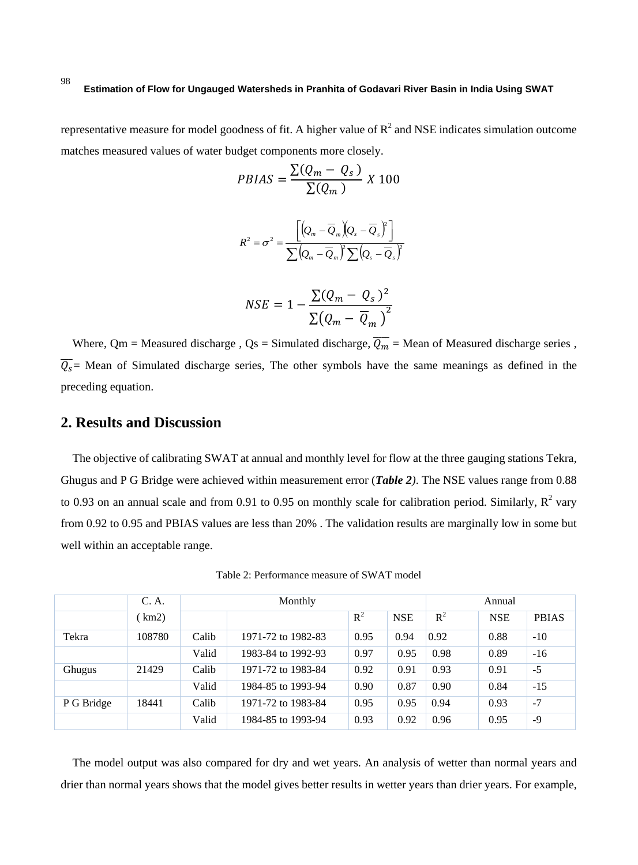representative measure for model goodness of fit. A higher value of  $R<sup>2</sup>$  and NSE indicates simulation outcome matches measured values of water budget components more closely.

$$
PBIAS = \frac{\Sigma(Q_m - Q_s)}{\Sigma(Q_m)} \times 100
$$

$$
R^{2} = \sigma^{2} = \frac{\left[ \left( Q_{m} - \overline{Q}_{m} \right) \left( Q_{s} - \overline{Q}_{s} \right)^{2} \right]}{\sum \left( Q_{m} - \overline{Q}_{m} \right)^{2} \sum \left( Q_{s} - \overline{Q}_{s} \right)^{2}}
$$

$$
NSE = 1 - \frac{\Sigma (Q_m - Q_s)^2}{\Sigma (Q_m - \overline{Q}_m)^2}
$$

Where, Qm = Measured discharge, Qs = Simulated discharge,  $\overline{Q_m}$  = Mean of Measured discharge series,  $\overline{Q_s}$  Mean of Simulated discharge series, The other symbols have the same meanings as defined in the preceding equation.

# **2. Results and Discussion**

The objective of calibrating SWAT at annual and monthly level for flow at the three gauging stations Tekra, Ghugus and P G Bridge were achieved within measurement error (*Table 2)*. The NSE values range from 0.88 to 0.93 on an annual scale and from 0.91 to 0.95 on monthly scale for calibration period. Similarly,  $R^2$  vary from 0.92 to 0.95 and PBIAS values are less than 20% . The validation results are marginally low in some but well within an acceptable range.

Table 2: Performance measure of SWAT model

|            | C. A.  | Monthly |                    |       |            | Annual |            |              |
|------------|--------|---------|--------------------|-------|------------|--------|------------|--------------|
|            | km2)   |         |                    | $R^2$ | <b>NSE</b> | $R^2$  | <b>NSE</b> | <b>PBIAS</b> |
| Tekra      | 108780 | Calib   | 1971-72 to 1982-83 | 0.95  | 0.94       | 0.92   | 0.88       | $-10$        |
|            |        | Valid   | 1983-84 to 1992-93 | 0.97  | 0.95       | 0.98   | 0.89       | $-16$        |
| Ghugus     | 21429  | Calib   | 1971-72 to 1983-84 | 0.92  | 0.91       | 0.93   | 0.91       | $-5$         |
|            |        | Valid   | 1984-85 to 1993-94 | 0.90  | 0.87       | 0.90   | 0.84       | $-15$        |
| P G Bridge | 18441  | Calib   | 1971-72 to 1983-84 | 0.95  | 0.95       | 0.94   | 0.93       | $-7$         |
|            |        | Valid   | 1984-85 to 1993-94 | 0.93  | 0.92       | 0.96   | 0.95       | -9           |

The model output was also compared for dry and wet years. An analysis of wetter than normal years and drier than normal years shows that the model gives better results in wetter years than drier years. For example,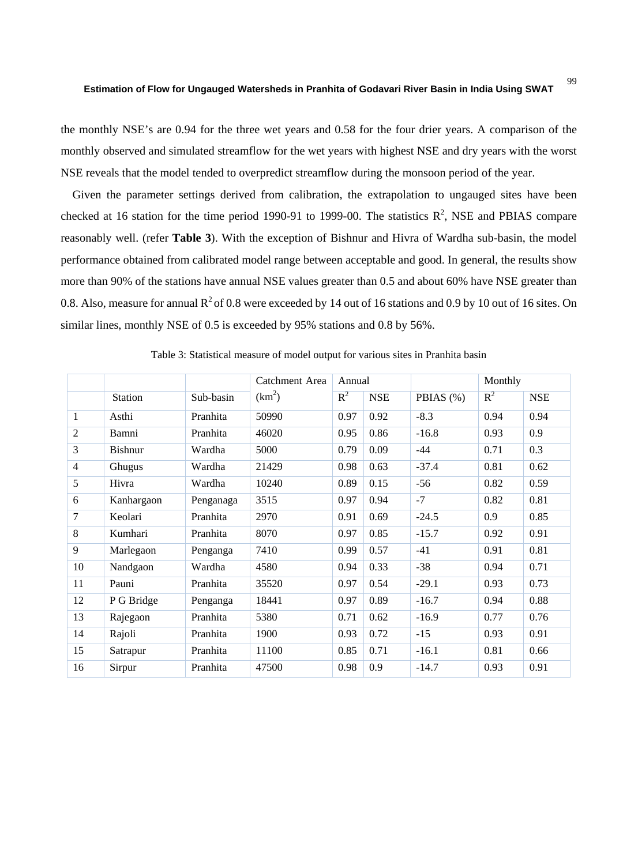the monthly NSE's are 0.94 for the three wet years and 0.58 for the four drier years. A comparison of the monthly observed and simulated streamflow for the wet years with highest NSE and dry years with the worst NSE reveals that the model tended to overpredict streamflow during the monsoon period of the year.

Given the parameter settings derived from calibration, the extrapolation to ungauged sites have been checked at 16 station for the time period 1990-91 to 1999-00. The statistics  $R^2$ , NSE and PBIAS compare reasonably well. (refer **Table 3**). With the exception of Bishnur and Hivra of Wardha sub-basin, the model performance obtained from calibrated model range between acceptable and good. In general, the results show more than 90% of the stations have annual NSE values greater than 0.5 and about 60% have NSE greater than 0.8. Also, measure for annual  $R^2$  of 0.8 were exceeded by 14 out of 16 stations and 0.9 by 10 out of 16 sites. On similar lines, monthly NSE of 0.5 is exceeded by 95% stations and 0.8 by 56%.

|                |                |           | Catchment Area     | Annual |            |           | Monthly |            |
|----------------|----------------|-----------|--------------------|--------|------------|-----------|---------|------------|
|                | <b>Station</b> | Sub-basin | (km <sup>2</sup> ) | $R^2$  | <b>NSE</b> | PBIAS (%) | $R^2$   | <b>NSE</b> |
| 1              | Asthi          | Pranhita  | 50990              | 0.97   | 0.92       | $-8.3$    | 0.94    | 0.94       |
| $\overline{c}$ | Bamni          | Pranhita  | 46020              | 0.95   | 0.86       | $-16.8$   | 0.93    | 0.9        |
| 3              | <b>Bishnur</b> | Wardha    | 5000               | 0.79   | 0.09       | $-44$     | 0.71    | 0.3        |
| $\overline{4}$ | Ghugus         | Wardha    | 21429              | 0.98   | 0.63       | $-37.4$   | 0.81    | 0.62       |
| 5              | Hivra          | Wardha    | 10240              | 0.89   | 0.15       | $-56$     | 0.82    | 0.59       |
| 6              | Kanhargaon     | Penganaga | 3515               | 0.97   | 0.94       | $-7$      | 0.82    | 0.81       |
| 7              | Keolari        | Pranhita  | 2970               | 0.91   | 0.69       | $-24.5$   | 0.9     | 0.85       |
| 8              | Kumhari        | Pranhita  | 8070               | 0.97   | 0.85       | $-15.7$   | 0.92    | 0.91       |
| 9              | Marlegaon      | Penganga  | 7410               | 0.99   | 0.57       | $-41$     | 0.91    | 0.81       |
| 10             | Nandgaon       | Wardha    | 4580               | 0.94   | 0.33       | $-38$     | 0.94    | 0.71       |
| 11             | Pauni          | Pranhita  | 35520              | 0.97   | 0.54       | $-29.1$   | 0.93    | 0.73       |
| 12             | P G Bridge     | Penganga  | 18441              | 0.97   | 0.89       | $-16.7$   | 0.94    | 0.88       |
| 13             | Rajegaon       | Pranhita  | 5380               | 0.71   | 0.62       | $-16.9$   | 0.77    | 0.76       |
| 14             | Rajoli         | Pranhita  | 1900               | 0.93   | 0.72       | $-15$     | 0.93    | 0.91       |
| 15             | Satrapur       | Pranhita  | 11100              | 0.85   | 0.71       | $-16.1$   | 0.81    | 0.66       |
| 16             | Sirpur         | Pranhita  | 47500              | 0.98   | 0.9        | $-14.7$   | 0.93    | 0.91       |

Table 3: Statistical measure of model output for various sites in Pranhita basin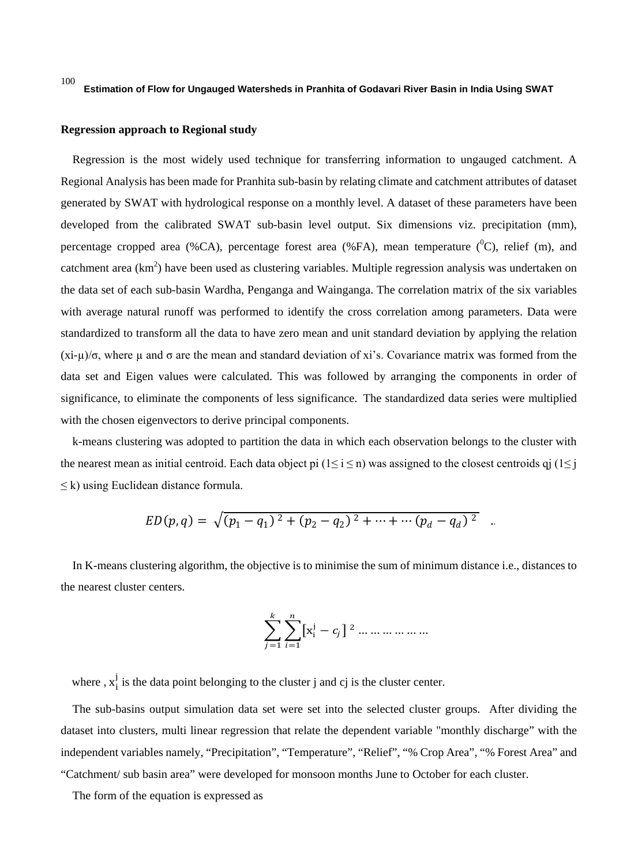### **Regression approach to Regional study**

Regression is the most widely used technique for transferring information to ungauged catchment. A Regional Analysis has been made for Pranhita sub-basin by relating climate and catchment attributes of dataset generated by SWAT with hydrological response on a monthly level. A dataset of these parameters have been developed from the calibrated SWAT sub-basin level output. Six dimensions viz. precipitation (mm), percentage cropped area (%CA), percentage forest area (%FA), mean temperature ( ${}^{0}C$ ), relief (m), and catchment area (km<sup>2</sup>) have been used as clustering variables. Multiple regression analysis was undertaken on the data set of each sub-basin Wardha, Penganga and Wainganga. The correlation matrix of the six variables with average natural runoff was performed to identify the cross correlation among parameters. Data were standardized to transform all the data to have zero mean and unit standard deviation by applying the relation  $(xi-\mu)/\sigma$ , where  $\mu$  and  $\sigma$  are the mean and standard deviation of xi's. Covariance matrix was formed from the data set and Eigen values were calculated. This was followed by arranging the components in order of significance, to eliminate the components of less significance. The standardized data series were multiplied with the chosen eigenvectors to derive principal components.

k-means clustering was adopted to partition the data in which each observation belongs to the [cluster](https://en.wikipedia.org/wiki/Cluster_(statistics)) with the nearest [mean](https://en.wikipedia.org/wiki/Mean) as initial centroid. Each data object pi (1≤ i ≤ n) was assigned to the closest centroids qj (1≤ j  $\leq$  k) using Euclidean distance formula.

$$
ED(p,q) = \sqrt{(p_1 - q_1)^2 + (p_2 - q_2)^2 + \dots + \dots + (p_d - q_d)^2} \quad .
$$

In K-means clustering algorithm, the objective is to minimise the sum of minimum distance i.e., distances to the nearest cluster centers.

$$
\sum_{j=1}^{k} \sum_{i=1}^{n} [x_i^j - c_j]^{2} \dots \dots \dots \dots \dots
$$

where,  $x_i^j$  is the data point belonging to the cluster j and cj is the cluster center.

The sub-basins output simulation data set were set into the selected cluster groups. After dividing the dataset into clusters, multi linear regression that relate the dependent variable "monthly discharge" with the independent variables namely, "Precipitation", "Temperature", "Relief", "% Crop Area", "% Forest Area" and "Catchment/ sub basin area" were developed for monsoon months June to October for each cluster.

The form of the equation is expressed as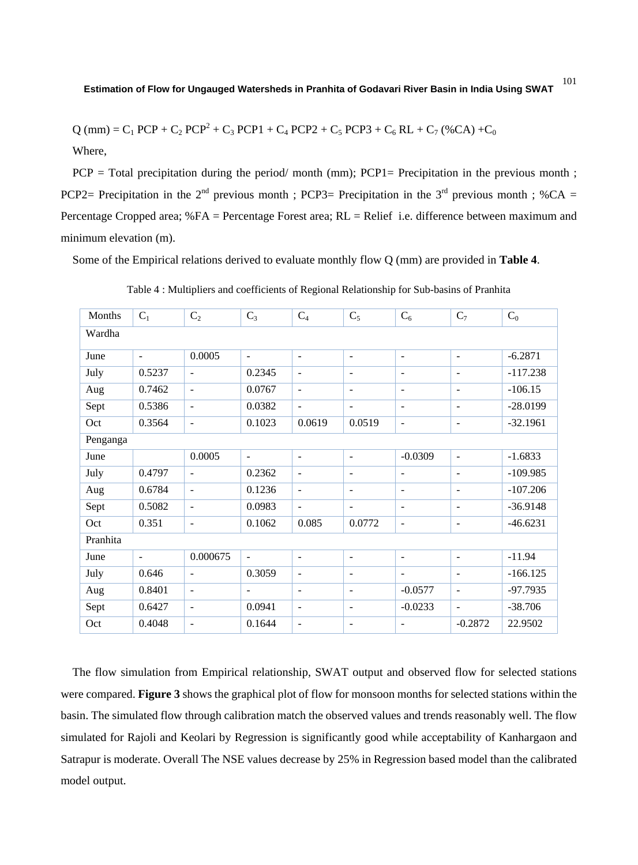$Q$  (mm) = C<sub>1</sub> PCP + C<sub>2</sub> PCP<sup>2</sup> + C<sub>3</sub> PCP1 + C<sub>4</sub> PCP2 + C<sub>5</sub> PCP3 + C<sub>6</sub> RL + C<sub>7</sub> (%CA) + C<sub>0</sub>

Where,

 $PCP = Total \, precipitation \, during \, the \, period/ \, month \, (mm); \, PCP1 = \, Precision \, in \, the \, previous \, month \; ; \, PCP1 = \, Precision \, in \, the \, previous \, month \, is \, 1.$ PCP2= Precipitation in the 2<sup>nd</sup> previous month : PCP3= Precipitation in the 3<sup>rd</sup> previous month : %CA = Percentage Cropped area; %FA = Percentage Forest area; RL = Relief i.e. difference between maximum and minimum elevation (m).

Some of the Empirical relations derived to evaluate monthly flow Q (mm) are provided in **Table 4**.

| Months   | $C_1$                    | C <sub>2</sub>           | $C_3$          | $C_4$                    | $C_5$                    | $C_6$                    | $C_7$                        | $C_0$      |  |
|----------|--------------------------|--------------------------|----------------|--------------------------|--------------------------|--------------------------|------------------------------|------------|--|
| Wardha   |                          |                          |                |                          |                          |                          |                              |            |  |
| June     | $\blacksquare$           | 0.0005                   | $\blacksquare$ | $\overline{\phantom{a}}$ | $\blacksquare$           | $\overline{\phantom{a}}$ | $\overline{\phantom{a}}$     | $-6.2871$  |  |
| July     | 0.5237                   | $\overline{\phantom{a}}$ | 0.2345         | $\overline{\phantom{a}}$ | $\overline{\phantom{a}}$ | $\overline{\phantom{a}}$ | $\overline{\phantom{a}}$     | $-117.238$ |  |
| Aug      | 0.7462                   | $\overline{\phantom{a}}$ | 0.0767         | $\overline{\phantom{a}}$ | $\overline{\phantom{a}}$ | $\overline{\phantom{a}}$ | $\overline{\phantom{a}}$     | $-106.15$  |  |
| Sept     | 0.5386                   | $\blacksquare$           | 0.0382         | $\overline{\phantom{a}}$ | $\blacksquare$           | $\blacksquare$           | $\overline{\phantom{a}}$     | $-28.0199$ |  |
| Oct      | 0.3564                   | $\blacksquare$           | 0.1023         | 0.0619                   | 0.0519                   | $\sim$                   | $\overline{\phantom{a}}$     | $-32.1961$ |  |
| Penganga |                          |                          |                |                          |                          |                          |                              |            |  |
| June     |                          | 0.0005                   | $\blacksquare$ | $\overline{\phantom{a}}$ | $\blacksquare$           | $-0.0309$                | $\blacksquare$               | $-1.6833$  |  |
| July     | 0.4797                   | $\blacksquare$           | 0.2362         | $\blacksquare$           | $\overline{\phantom{a}}$ | $\blacksquare$           | $\qquad \qquad \blacksquare$ | $-109.985$ |  |
| Aug      | 0.6784                   | $\blacksquare$           | 0.1236         | $\blacksquare$           | $\blacksquare$           | $\blacksquare$           | $\blacksquare$               | $-107.206$ |  |
| Sept     | 0.5082                   | $\overline{\phantom{a}}$ | 0.0983         | $\blacksquare$           | $\blacksquare$           | $\overline{\phantom{a}}$ | $\overline{\phantom{a}}$     | $-36.9148$ |  |
| Oct      | 0.351                    | $\overline{\phantom{a}}$ | 0.1062         | 0.085                    | 0.0772                   | $\overline{\phantom{a}}$ | $\overline{\phantom{a}}$     | $-46.6231$ |  |
| Pranhita |                          |                          |                |                          |                          |                          |                              |            |  |
| June     | $\overline{\phantom{a}}$ | 0.000675                 | $\blacksquare$ | $\overline{\phantom{a}}$ | $\overline{\phantom{a}}$ | $\blacksquare$           | $\overline{\phantom{a}}$     | $-11.94$   |  |
| July     | 0.646                    | $\overline{\phantom{a}}$ | 0.3059         | $\overline{\phantom{a}}$ | $\overline{\phantom{a}}$ | $\blacksquare$           | $\overline{\phantom{a}}$     | $-166.125$ |  |
| Aug      | 0.8401                   | $\blacksquare$           | $\blacksquare$ | ٠                        | $\overline{\phantom{a}}$ | $-0.0577$                | $\blacksquare$               | $-97.7935$ |  |
| Sept     | 0.6427                   | $\overline{\phantom{a}}$ | 0.0941         | $\overline{\phantom{a}}$ | $\overline{\phantom{a}}$ | $-0.0233$                | $\blacksquare$               | $-38.706$  |  |
| Oct      | 0.4048                   | $\overline{\phantom{a}}$ | 0.1644         | $\blacksquare$           | $\blacksquare$           | $\blacksquare$           | $-0.2872$                    | 22.9502    |  |

Table 4 : Multipliers and coefficients of Regional Relationship for Sub-basins of Pranhita

The flow simulation from Empirical relationship, SWAT output and observed flow for selected stations were compared. **Figure 3** shows the graphical plot of flow for monsoon months for selected stations within the basin. The simulated flow through calibration match the observed values and trends reasonably well. The flow simulated for Rajoli and Keolari by Regression is significantly good while acceptability of Kanhargaon and Satrapur is moderate. Overall The NSE values decrease by 25% in Regression based model than the calibrated model output.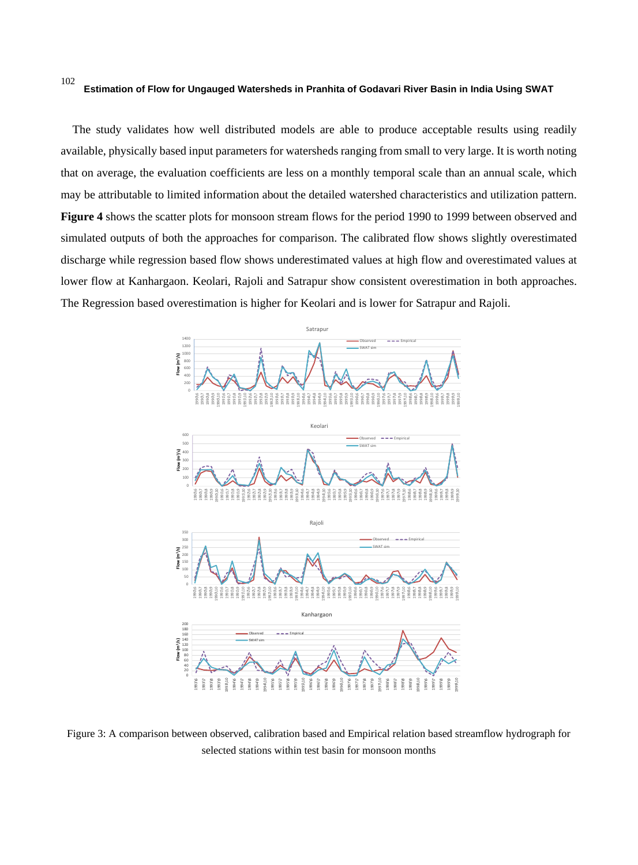The study validates how well distributed models are able to produce acceptable results using readily available, physically based input parameters for watersheds ranging from small to very large. It is worth noting that on average, the evaluation coefficients are less on a monthly temporal scale than an annual scale, which may be attributable to limited information about the detailed watershed characteristics and utilization pattern. **Figure 4** shows the scatter plots for monsoon stream flows for the period 1990 to 1999 between observed and simulated outputs of both the approaches for comparison. The calibrated flow shows slightly overestimated discharge while regression based flow shows underestimated values at high flow and overestimated values at lower flow at Kanhargaon. Keolari, Rajoli and Satrapur show consistent overestimation in both approaches. The Regression based overestimation is higher for Keolari and is lower for Satrapur and Rajoli.



Figure 3: A comparison between observed, calibration based and Empirical relation based streamflow hydrograph for selected stations within test basin for monsoon months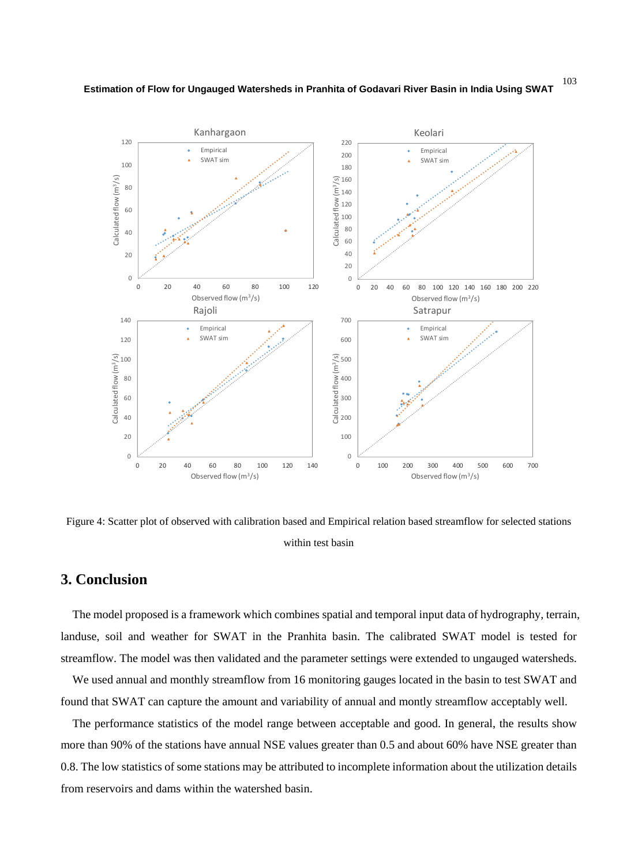



Figure 4: Scatter plot of observed with calibration based and Empirical relation based streamflow for selected stations within test basin

# **3. Conclusion**

The model proposed is a framework which combines spatial and temporal input data of hydrography, terrain, landuse, soil and weather for SWAT in the Pranhita basin. The calibrated SWAT model is tested for streamflow. The model was then validated and the parameter settings were extended to ungauged watersheds.

We used annual and monthly streamflow from 16 monitoring gauges located in the basin to test SWAT and found that SWAT can capture the amount and variability of annual and montly streamflow acceptably well.

The performance statistics of the model range between acceptable and good. In general, the results show more than 90% of the stations have annual NSE values greater than 0.5 and about 60% have NSE greater than 0.8. The low statistics of some stations may be attributed to incomplete information about the utilization details from reservoirs and dams within the watershed basin.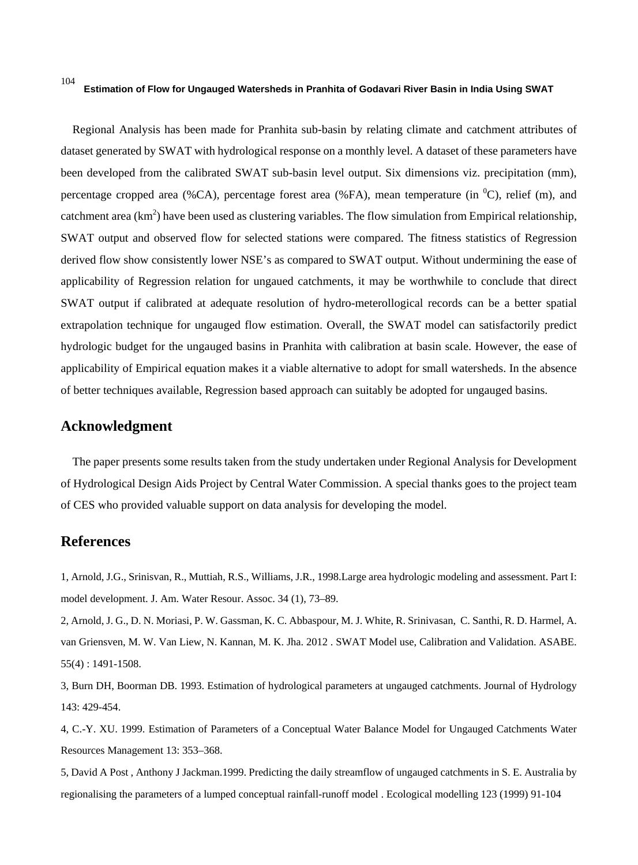Regional Analysis has been made for Pranhita sub-basin by relating climate and catchment attributes of dataset generated by SWAT with hydrological response on a monthly level. A dataset of these parameters have been developed from the calibrated SWAT sub-basin level output. Six dimensions viz. precipitation (mm), percentage cropped area (%CA), percentage forest area (%FA), mean temperature (in  $^0C$ ), relief (m), and catchment area  $(km^2)$  have been used as clustering variables. The flow simulation from Empirical relationship, SWAT output and observed flow for selected stations were compared. The fitness statistics of Regression derived flow show consistently lower NSE's as compared to SWAT output. Without undermining the ease of applicability of Regression relation for ungaued catchments, it may be worthwhile to conclude that direct SWAT output if calibrated at adequate resolution of hydro-meterollogical records can be a better spatial extrapolation technique for ungauged flow estimation. Overall, the SWAT model can satisfactorily predict hydrologic budget for the ungauged basins in Pranhita with calibration at basin scale. However, the ease of applicability of Empirical equation makes it a viable alternative to adopt for small watersheds. In the absence of better techniques available, Regression based approach can suitably be adopted for ungauged basins.

# **Acknowledgment**

The paper presents some results taken from the study undertaken under Regional Analysis for Development of Hydrological Design Aids Project by Central Water Commission. A special thanks goes to the project team of CES who provided valuable support on data analysis for developing the model.

# **References**

1, Arnold, J.G., Srinisvan, R., Muttiah, R.S., Williams, J.R., 1998.Large area hydrologic modeling and assessment. Part I: model development. J. Am. Water Resour. Assoc. 34 (1), 73–89.

2, Arnold, J. G., D. N. Moriasi, P. W. Gassman, K. C. Abbaspour, M. J. White, R. Srinivasan, C. Santhi, R. D. Harmel, A. van Griensven, M. W. Van Liew, N. Kannan, M. K. Jha. 2012 . SWAT Model use, Calibration and Validation. ASABE. 55(4) : 1491-1508.

3, Burn DH, Boorman DB. 1993. Estimation of hydrological parameters at ungauged catchments. Journal of Hydrology 143: 429-454.

4, C.-Y. XU. 1999. Estimation of Parameters of a Conceptual Water Balance Model for Ungauged Catchments Water Resources Management 13: 353–368.

5, David A Post , Anthony J Jackman.1999. Predicting the daily streamflow of ungauged catchments in S. E. Australia by regionalising the parameters of a lumped conceptual rainfall-runoff model . Ecological modelling 123 (1999) 91-104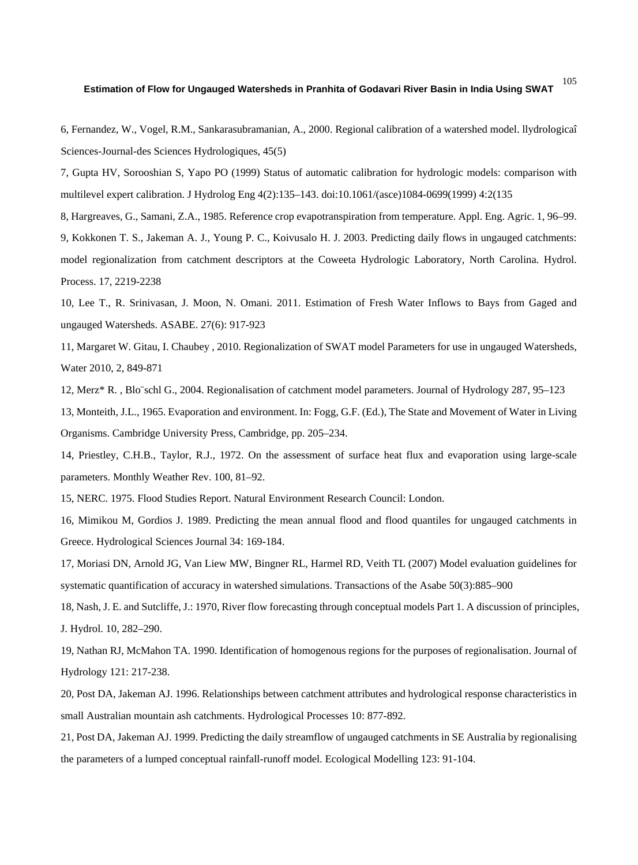6, Fernandez, W., Vogel, R.M., Sankarasubramanian, A., 2000. Regional calibration of a watershed model. llydrologicaî Sciences-Journal-des Sciences Hydrologiques, 45(5)

7, Gupta HV, Sorooshian S, Yapo PO (1999) Status of automatic calibration for hydrologic models: comparison with multilevel expert calibration. J Hydrolog Eng 4(2):135–143. doi:10.1061/(asce)1084-0699(1999) 4:2(135

8, Hargreaves, G., Samani, Z.A., 1985. Reference crop evapotranspiration from temperature. Appl. Eng. Agric. 1, 96–99.

9, Kokkonen T. S., Jakeman A. J., Young P. C., Koivusalo H. J. 2003. Predicting daily flows in ungauged catchments: model regionalization from catchment descriptors at the Coweeta Hydrologic Laboratory, North Carolina. Hydrol. Process. 17, 2219-2238

10, Lee T., R. Srinivasan, J. Moon, N. Omani. 2011. Estimation of Fresh Water Inflows to Bays from Gaged and ungauged Watersheds. ASABE. 27(6): 917-923

11, Margaret W. Gitau, I. Chaubey , 2010. Regionalization of SWAT model Parameters for use in ungauged Watersheds, Water 2010, 2, 849-871

12, Merz\* R. , Blo¨schl G., 2004. Regionalisation of catchment model parameters. Journal of Hydrology 287, 95–123

13, Monteith, J.L., 1965. Evaporation and environment. In: Fogg, G.F. (Ed.), The State and Movement of Water in Living Organisms. Cambridge University Press, Cambridge, pp. 205–234.

14, Priestley, C.H.B., Taylor, R.J., 1972. On the assessment of surface heat flux and evaporation using large-scale parameters. Monthly Weather Rev. 100, 81–92.

15, NERC. 1975. Flood Studies Report. Natural Environment Research Council: London.

16, Mimikou M, Gordios J. 1989. Predicting the mean annual flood and flood quantiles for ungauged catchments in Greece. Hydrological Sciences Journal 34: 169-184.

17, Moriasi DN, Arnold JG, Van Liew MW, Bingner RL, Harmel RD, Veith TL (2007) Model evaluation guidelines for systematic quantification of accuracy in watershed simulations. Transactions of the Asabe 50(3):885–900

18, Nash, J. E. and Sutcliffe, J.: 1970, River flow forecasting through conceptual models Part 1. A discussion of principles, J. Hydrol. 10, 282–290.

19, Nathan RJ, McMahon TA. 1990. Identification of homogenous regions for the purposes of regionalisation. Journal of Hydrology 121: 217-238.

20, Post DA, Jakeman AJ. 1996. Relationships between catchment attributes and hydrological response characteristics in small Australian mountain ash catchments. Hydrological Processes 10: 877-892.

21, Post DA, Jakeman AJ. 1999. Predicting the daily streamflow of ungauged catchments in SE Australia by regionalising the parameters of a lumped conceptual rainfall-runoff model. Ecological Modelling 123: 91-104.